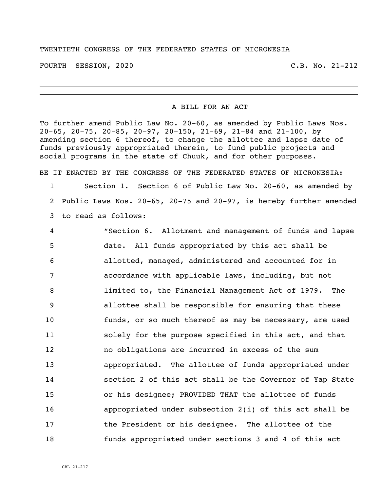## TWENTIETH CONGRESS OF THE FEDERATED STATES OF MICRONESIA

FOURTH SESSION, 2020 C.B. No. 21-212

## A BILL FOR AN ACT

To further amend Public Law No. 20-60, as amended by Public Laws Nos. 20-65, 20-75, 20-85, 20-97, 20-150, 21-69, 21-84 and 21-100, by amending section 6 thereof, to change the allottee and lapse date of funds previously appropriated therein, to fund public projects and social programs in the state of Chuuk, and for other purposes.

BE IT ENACTED BY THE CONGRESS OF THE FEDERATED STATES OF MICRONESIA: Section 1. Section 6 of Public Law No. 20-60, as amended by Public Laws Nos. 20-65, 20-75 and 20-97, is hereby further amended

to read as follows:

 "Section 6. Allotment and management of funds and lapse date. All funds appropriated by this act shall be allotted, managed, administered and accounted for in accordance with applicable laws, including, but not limited to, the Financial Management Act of 1979. The allottee shall be responsible for ensuring that these funds, or so much thereof as may be necessary, are used solely for the purpose specified in this act, and that no obligations are incurred in excess of the sum appropriated. The allottee of funds appropriated under section 2 of this act shall be the Governor of Yap State or his designee; PROVIDED THAT the allottee of funds appropriated under subsection 2(i) of this act shall be the President or his designee. The allottee of the funds appropriated under sections 3 and 4 of this act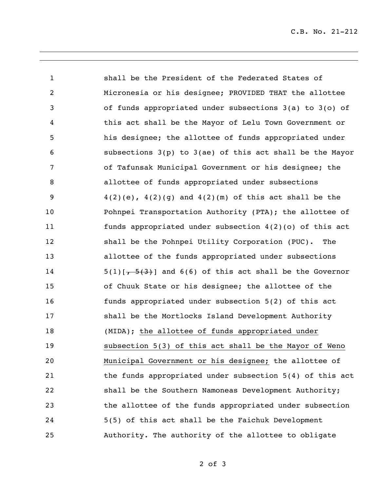C.B. No. 21-212

 shall be the President of the Federated States of Micronesia or his designee; PROVIDED THAT the allottee of funds appropriated under subsections 3(a) to 3(o) of this act shall be the Mayor of Lelu Town Government or his designee; the allottee of funds appropriated under subsections 3(p) to 3(ae) of this act shall be the Mayor of Tafunsak Municipal Government or his designee; the allottee of funds appropriated under subsections  $4(2)(e)$ ,  $4(2)(g)$  and  $4(2)(m)$  of this act shall be the Pohnpei Transportation Authority (PTA); the allottee of funds appropriated under subsection 4(2)(o) of this act shall be the Pohnpei Utility Corporation (PUC). The allottee of the funds appropriated under subsections  $5(1)[\frac{5(3)}{2}]$  and 6(6) of this act shall be the Governor of Chuuk State or his designee; the allottee of the funds appropriated under subsection 5(2) of this act shall be the Mortlocks Island Development Authority (MIDA); the allottee of funds appropriated under subsection 5(3) of this act shall be the Mayor of Weno Municipal Government or his designee; the allottee of the funds appropriated under subsection 5(4) of this act shall be the Southern Namoneas Development Authority; the allottee of the funds appropriated under subsection 5(5) of this act shall be the Faichuk Development Authority. The authority of the allottee to obligate